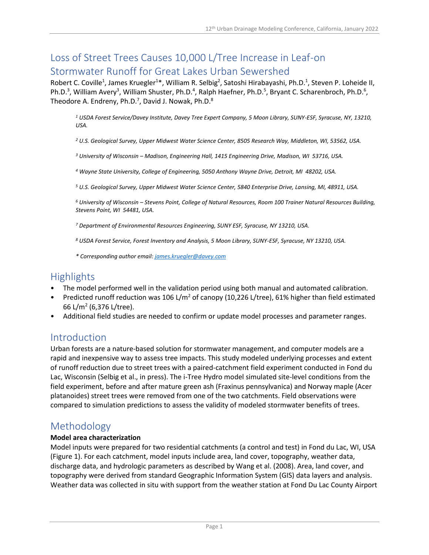# Loss of Street Trees Causes 10,000 L/Tree Increase in Leaf-on Stormwater Runoff for Great Lakes Urban Sewershed

Robert C. Coville<sup>1</sup>, James Kruegler<sup>1\*</sup>, William R. Selbig<sup>2</sup>, Satoshi Hirabayashi, Ph.D.<sup>1</sup>, Steven P. Loheide II, Ph.D.<sup>3</sup>, William Avery<sup>3</sup>, William Shuster, Ph.D.<sup>4</sup>, Ralph Haefner, Ph.D.<sup>5</sup>, Bryant C. Scharenbroch, Ph.D.<sup>6</sup>, Theodore A. Endreny, Ph.D.<sup>7</sup>, David J. Nowak, Ph.D.<sup>8</sup>

*<sup>1</sup> USDA Forest Service/Davey Institute, Davey Tree Expert Company, 5 Moon Library, SUNY-ESF, Syracuse, NY, 13210, USA.* 

*<sup>2</sup> U.S. Geological Survey, Upper Midwest Water Science Center, 8505 Research Way, Middleton, WI, 53562, USA.* 

*<sup>3</sup> University of Wisconsin – Madison, Engineering Hall, 1415 Engineering Drive, Madison, WI 53716, USA.* 

*<sup>4</sup> Wayne State University, College of Engineering, 5050 Anthony Wayne Drive, Detroit, MI 48202, USA.*

*<sup>5</sup> U.S. Geological Survey, Upper Midwest Water Science Center, 5840 Enterprise Drive, Lansing, MI, 48911, USA.*

*<sup>6</sup> University of Wisconsin – Stevens Point, College of Natural Resources, Room 100 Trainer Natural Resources Building, Stevens Point, WI 54481, USA.*

*<sup>7</sup> Department of Environmental Resources Engineering, SUNY ESF, Syracuse, NY 13210, USA.* 

*<sup>8</sup> USDA Forest Service, Forest Inventory and Analysis, 5 Moon Library, SUNY-ESF, Syracuse, NY 13210, USA.*

*\* Corresponding author email: [james.kruegler@davey.com](mailto:james.kruegler@davey.com)*

### **Highlights**

- The model performed well in the validation period using both manual and automated calibration.
- Predicted runoff reduction was 106 L/m<sup>2</sup> of canopy (10,226 L/tree), 61% higher than field estimated 66 L/m<sup>2</sup> (6,376 L/tree).
- Additional field studies are needed to confirm or update model processes and parameter ranges.

### Introduction

Urban forests are a nature-based solution for stormwater management, and computer models are a rapid and inexpensive way to assess tree impacts. This study modeled underlying processes and extent of runoff reduction due to street trees with a paired-catchment field experiment conducted in Fond du Lac, Wisconsin (Selbig et al., in press). The i-Tree Hydro model simulated site-level conditions from the field experiment, before and after mature green ash (Fraxinus pennsylvanica) and Norway maple (Acer platanoides) street trees were removed from one of the two catchments. Field observations were compared to simulation predictions to assess the validity of modeled stormwater benefits of trees.

## Methodology

#### **Model area characterization**

Model inputs were prepared for two residential catchments (a control and test) in Fond du Lac, WI, USA (Figure 1). For each catchment, model inputs include area, land cover, topography, weather data, discharge data, and hydrologic parameters as described by Wang et al. (2008). Area, land cover, and topography were derived from standard Geographic Information System (GIS) data layers and analysis. Weather data was collected in situ with support from the weather station at Fond Du Lac County Airport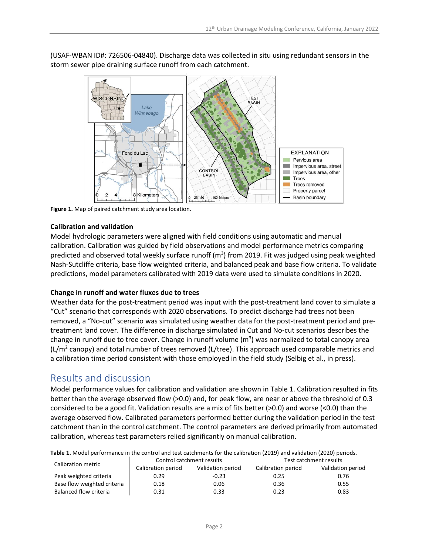

(USAF-WBAN ID#: 726506-04840). Discharge data was collected in situ using redundant sensors in the storm sewer pipe draining surface runoff from each catchment.

**Figure 1.** Map of paired catchment study area location.

#### **Calibration and validation**

Model hydrologic parameters were aligned with field conditions using automatic and manual calibration. Calibration was guided by field observations and model performance metrics comparing predicted and observed total weekly surface runoff (m<sup>3</sup>) from 2019. Fit was judged using peak weighted Nash-Sutcliffe criteria, base flow weighted criteria, and balanced peak and base flow criteria. To validate predictions, model parameters calibrated with 2019 data were used to simulate conditions in 2020.

#### **Change in runoff and water fluxes due to trees**

Weather data for the post-treatment period was input with the post-treatment land cover to simulate a "Cut" scenario that corresponds with 2020 observations. To predict discharge had trees not been removed, a "No-cut" scenario was simulated using weather data for the post-treatment period and pretreatment land cover. The difference in discharge simulated in Cut and No-cut scenarios describes the change in runoff due to tree cover. Change in runoff volume  $(m^3)$  was normalized to total canopy area  $(L/m<sup>2</sup>$  canopy) and total number of trees removed (L/tree). This approach used comparable metrics and a calibration time period consistent with those employed in the field study (Selbig et al., in press).

## Results and discussion

Model performance values for calibration and validation are shown in Table 1. Calibration resulted in fits better than the average observed flow (>0.0) and, for peak flow, are near or above the threshold of 0.3 considered to be a good fit. Validation results are a mix of fits better (>0.0) and worse (<0.0) than the average observed flow. Calibrated parameters performed better during the validation period in the test catchment than in the control catchment. The control parameters are derived primarily from automated calibration, whereas test parameters relied significantly on manual calibration.

| <b>Table 1.</b> MOUCH DCHOMMICE IN the CONTROL and test catermichts for the camplation (2019) and vanuation (2020) DCHOUS. |                           |                   |                        |                   |  |
|----------------------------------------------------------------------------------------------------------------------------|---------------------------|-------------------|------------------------|-------------------|--|
| Calibration metric                                                                                                         | Control catchment results |                   | Test catchment results |                   |  |
|                                                                                                                            | Calibration period        | Validation period | Calibration period     | Validation period |  |
| Peak weighted criteria                                                                                                     | 0.29                      | $-0.23$           | 0.25                   | 0.76              |  |
| Base flow weighted criteria                                                                                                | 0.18                      | 0.06              | 0.36                   | 0.55              |  |
| Balanced flow criteria                                                                                                     | 0.31                      | 0.33              | 0.23                   | 0.83              |  |

**Table 1.** Model performance in the control and test catchments for the calibration (2019) and validation (2020) periods.